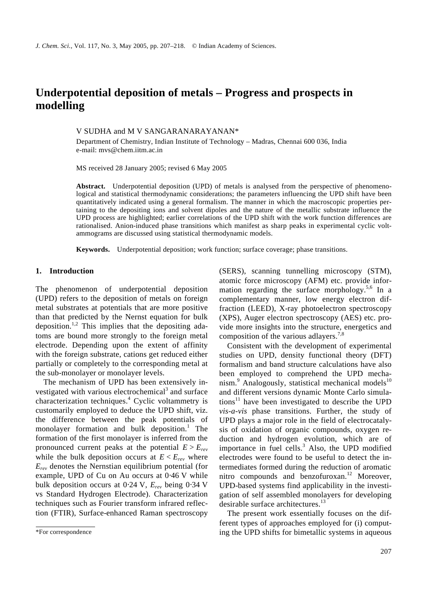# **Underpotential deposition of metals – Progress and prospects in modelling**

V SUDHA and M V SANGARANARAYANAN\*

Department of Chemistry, Indian Institute of Technology – Madras, Chennai 600 036, India e-mail: mvs@chem.iitm.ac.in

MS received 28 January 2005; revised 6 May 2005

**Abstract.** Underpotential deposition (UPD) of metals is analysed from the perspective of phenomenological and statistical thermodynamic considerations; the parameters influencing the UPD shift have been quantitatively indicated using a general formalism. The manner in which the macroscopic properties pertaining to the depositing ions and solvent dipoles and the nature of the metallic substrate influence the UPD process are highlighted; earlier correlations of the UPD shift with the work function differences are rationalised. Anion-induced phase transitions which manifest as sharp peaks in experimental cyclic voltammograms are discussed using statistical thermodynamic models.

**Keywords.** Underpotential deposition; work function; surface coverage; phase transitions.

# **1. Introduction**

The phenomenon of underpotential deposition (UPD) refers to the deposition of metals on foreign metal substrates at potentials that are more positive than that predicted by the Nernst equation for bulk deposition.1,2 This implies that the depositing adatoms are bound more strongly to the foreign metal electrode. Depending upon the extent of affinity with the foreign substrate, cations get reduced either partially or completely to the corresponding metal at the sub-monolayer or monolayer levels.

The mechanism of UPD has been extensively investigated with various electrochemical<sup>3</sup> and surface characterization techniques.<sup>4</sup> Cyclic voltammetry is customarily employed to deduce the UPD shift, viz. the difference between the peak potentials of monolayer formation and bulk deposition.<sup>1</sup> The formation of the first monolayer is inferred from the pronounced current peaks at the potential  $E > E_{rev}$ while the bulk deposition occurs at  $E < E_{rev}$  where *Erev* denotes the Nernstian equilibrium potential (for example, UPD of Cu on Au occurs at 0⋅46 V while bulk deposition occurs at 0⋅24 V, *Erev* being 0⋅34 V vs Standard Hydrogen Electrode). Characterization techniques such as Fourier transform infrared reflection (FTIR), Surface-enhanced Raman spectroscopy

(SERS), scanning tunnelling microscopy (STM), atomic force microscopy (AFM) etc. provide information regarding the surface morphology.<sup>5,6</sup> In a complementary manner, low energy electron diffraction (LEED), X-ray photoelectron spectroscopy (XPS), Auger electron spectroscopy (AES) etc. provide more insights into the structure, energetics and composition of the various adlayers.<sup>7,8</sup>

Consistent with the development of experimental studies on UPD, density functional theory (DFT) formalism and band structure calculations have also been employed to comprehend the UPD mechanism.<sup>9</sup> Analogously, statistical mechanical models<sup>10</sup> and different versions dynamic Monte Carlo simula $tions<sup>11</sup>$  have been investigated to describe the UPD *vis-a-vis* phase transitions. Further, the study of UPD plays a major role in the field of electrocatalysis of oxidation of organic compounds, oxygen reduction and hydrogen evolution, which are of importance in fuel cells.<sup>3</sup> Also, the UPD modified electrodes were found to be useful to detect the intermediates formed during the reduction of aromatic nitro compounds and benzofuroxan.<sup>12</sup> Moreover, UPD-based systems find applicability in the investigation of self assembled monolayers for developing desirable surface architectures.<sup>13</sup>

The present work essentially focuses on the different types of approaches employed for (i) computing the UPD shifts for bimetallic systems in aqueous

<sup>\*</sup>For correspondence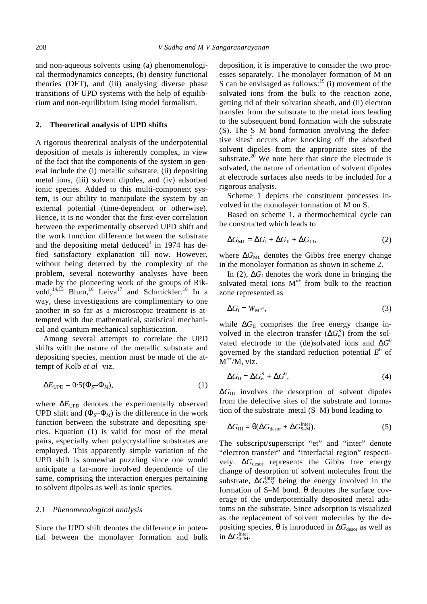and non-aqueous solvents using (a) phenomenological thermodynamics concepts, (b) density functional theories (DFT), and (iii) analysing diverse phase transitions of UPD systems with the help of equilibrium and non-equilibrium Ising model formalism.

### **2. Theoretical analysis of UPD shifts**

A rigorous theoretical analysis of the underpotential deposition of metals is inherently complex, in view of the fact that the components of the system in general include the (i) metallic substrate, (ii) depositing metal ions, (iii) solvent dipoles, and (iv) adsorbed ionic species. Added to this multi-component system, is our ability to manipulate the system by an external potential (time-dependent or otherwise). Hence, it is no wonder that the first-ever correlation between the experimentally observed UPD shift and the work function difference between the substrate and the depositing metal deduced<sup>1</sup> in 1974 has defied satisfactory explanation till now. However, without being deterred by the complexity of the problem, several noteworthy analyses have been made by the pioneering work of the groups of Rikvold,<sup>14,15</sup> Blum,<sup>16</sup> Leiva<sup>17</sup> and Schmickler.<sup>18</sup> In a way, these investigations are complimentary to one another in so far as a microscopic treatment is attempted with due mathematical, statistical mechanical and quantum mechanical sophistication.

Among several attempts to correlate the UPD shifts with the nature of the metallic substrate and depositing species, mention must be made of the attempt of Kolb *et al*<sup>1</sup> viz.

$$
\Delta E_{\text{UPD}} = 0.5(\Phi_S - \Phi_M),\tag{1}
$$

where  $\Delta E_{\text{UPD}}$  denotes the experimentally observed UPD shift and  $(\Phi_S - \Phi_M)$  is the difference in the work function between the substrate and depositing species. Equation (1) is valid for most of the metal pairs, especially when polycrystalline substrates are employed. This apparently simple variation of the UPD shift is somewhat puzzling since one would anticipate a far-more involved dependence of the same, comprising the interaction energies pertaining to solvent dipoles as well as ionic species.

#### 2.1 *Phenomenological analysis*

Since the UPD shift denotes the difference in potential between the monolayer formation and bulk deposition, it is imperative to consider the two processes separately. The monolayer formation of M on S can be envisaged as follows:<sup>19</sup> (i) movement of the solvated ions from the bulk to the reaction zone, getting rid of their solvation sheath, and (ii) electron transfer from the substrate to the metal ions leading to the subsequent bond formation with the substrate (S). The S–M bond formation involving the defective sites<sup>2</sup> occurs after knocking off the adsorbed solvent dipoles from the appropriate sites of the substrate.<sup>20</sup> We note here that since the electrode is solvated, the nature of orientation of solvent dipoles at electrode surfaces also needs to be included for a rigorous analysis.

Scheme 1 depicts the constituent processes involved in the monolayer formation of M on S.

Based on scheme 1, a thermochemical cycle can be constructed which leads to

$$
\Delta G_{\text{ML}} = \Delta G_{\text{I}} + \Delta G_{\text{II}} + \Delta G_{\text{III}},\tag{2}
$$

where  $\Delta G_{ML}$  denotes the Gibbs free energy change in the monolayer formation as shown in scheme 2.

In (2),  $\Delta G_I$  denotes the work done in bringing the solvated metal ions  $M^{n+}$  from bulk to the reaction zone represented as

$$
\Delta G_{\rm I} = W_{\rm M^{n+}},\tag{3}
$$

while  $\Delta G_{\text{II}}$  comprises the free energy change involved in the electron transfer  $(\Delta G_{\text{et}}^{\text{S}})$  from the solvated electrode to the (de)solvated ions and  $\Delta G^0$ governed by the standard reduction potential  $E^0$  of  $M^{n+}/M$ , viz.

$$
\Delta G_{\rm II} = \Delta G_{\rm et}^{\rm S} + \Delta G^{\rm 0},\tag{4}
$$

 $\Delta G_{\text{III}}$  involves the desorption of solvent dipoles from the defective sites of the substrate and formation of the substrate–metal (S–M) bond leading to

$$
\Delta G_{\text{III}} = \mathbf{q} (\Delta G_{\text{desor}} + \Delta G_{\text{S-M}}^{\text{inter}}). \tag{5}
$$

The subscript/superscript "et" and "inter" denote "electron transfer" and "interfacial region" respectively.  $\Delta G_{\text{desor}}$  represents the Gibbs free energy change of desorption of solvent molecules from the substrate,  $\Delta G_{\text{S-M}}^{\text{inter}}$  being the energy involved in the formation of S–M bond. *q* denotes the surface coverage of the underpotentially deposited metal adatoms on the substrate. Since adsorption is visualized as the replacement of solvent molecules by the depositing species,  $q$  is introduced in  $\Delta G_{\text{desor}}$  as well as in  $\Delta G_{\rm S-M}^{\rm inter}$ .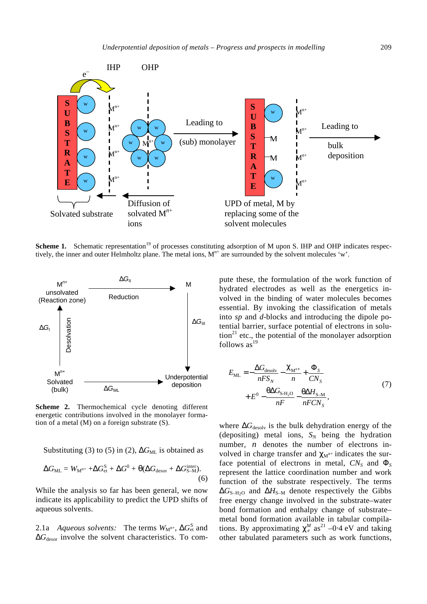

**Scheme 1.** Schematic representation<sup>19</sup> of processes constituting adsorption of M upon S. IHP and OHP indicates respectively, the inner and outer Helmholtz plane. The metal ions, M<sup>n+</sup> are surrounded by the solvent molecules 'w'.



**Scheme 2.** Thermochemical cycle denoting different energetic contributions involved in the monolayer formation of a metal (M) on a foreign substrate (S).

Substituting (3) to (5) in (2),  $\Delta G_{ML}$  is obtained as

$$
\Delta G_{\text{ML}} = W_{\text{M}^{n+}} + \Delta G_{\text{et}}^{\text{S}} + \Delta G^{\text{0}} + \mathbf{q} (\Delta G_{\text{desor}} + \Delta G_{\text{S-M}}^{\text{inter}}). \tag{6}
$$

While the analysis so far has been general, we now indicate its applicability to predict the UPD shifts of aqueous solvents.

2.1a *Aqueous solvents:* The terms  $W_{M^{n+}}$ ,  $\Delta G_{et}^{S}$  and  $\Delta G_{\text{desor}}$  involve the solvent characteristics. To compute these, the formulation of the work function of hydrated electrodes as well as the energetics involved in the binding of water molecules becomes essential. By invoking the classification of metals into *sp* and *d*-blocks and introducing the dipole potential barrier, surface potential of electrons in solution<sup>21</sup> etc., the potential of the monolayer adsorption follows  $as^{19}$ 

$$
E_{ML} = -\frac{\Delta G_{\text{desolv}}}{nFS_N} - \frac{c_{M^{n+}}}{n} + \frac{\Phi_S}{CN_S}
$$
  
+ 
$$
E^0 - \frac{\mathbf{q}\Delta G_{\text{S-H}_2\text{O}}}{nF} - \frac{\mathbf{q}\Delta H_{\text{S-M}}}{nFCN_S},
$$
 (7)

where  $\Delta G_{\text{desolv}}$  is the bulk dehydration energy of the (depositing) metal ions,  $S_N$  being the hydration number, *n* denotes the number of electrons involved in charge transfer and  $c_{M^{n+}}$  indicates the surface potential of electrons in metal,  $CN<sub>S</sub>$  and  $\Phi<sub>S</sub>$ represent the lattice coordination number and work function of the substrate respectively. The terms  $\Delta G_{\text{S-H2O}}$  and  $\Delta H_{\text{S-M}}$  denote respectively the Gibbs free energy change involved in the substrate–water bond formation and enthalpy change of substrate– metal bond formation available in tabular compilations. By approximating  $c_e^M$  as<sup>21</sup> -0⋅4 eV and taking other tabulated parameters such as work functions,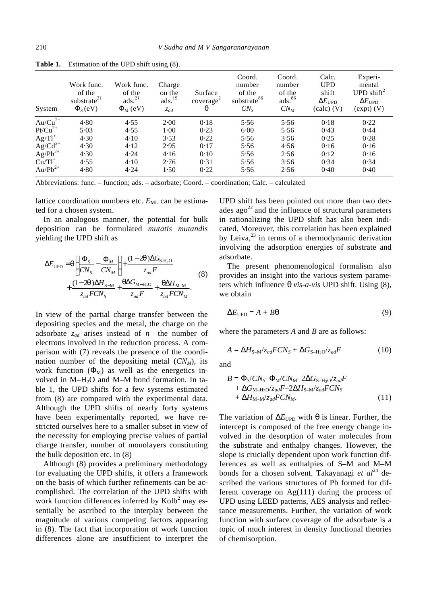| System               | Work func.<br>of the<br>substrate <sup>21</sup><br>$\Phi_{S}$ (eV) | Work func.<br>of the<br>ads. <sup>21</sup><br>$\Phi_M$ (eV) | Charge<br>on the<br>ads. <sup>19</sup><br>$z_{ad}$ | Surface<br>coverage <sup>2</sup><br>q | Coord.<br>number<br>of the<br>substrate <sup>86</sup><br>$CN_{S}$ | Coord.<br>number<br>of the<br>ads. <sup>86</sup><br>$CN_M$ | Calc.<br><b>UPD</b><br>shift<br>$\Delta E_{\rm UPD}$<br>$\left(\text{calc}\right)\left(\text{V}\right)$ | Experi-<br>mental<br>UPD shift <sup>2</sup><br>$\Delta E_{\text{UPD}}$<br>$\left(\text{expt}\right)\left(\text{V}\right)$ |
|----------------------|--------------------------------------------------------------------|-------------------------------------------------------------|----------------------------------------------------|---------------------------------------|-------------------------------------------------------------------|------------------------------------------------------------|---------------------------------------------------------------------------------------------------------|---------------------------------------------------------------------------------------------------------------------------|
| $Au/Cu^{2+}$         | 4.80                                                               | 4.55                                                        | 2.00                                               | 0.18                                  | 5.56                                                              | 5.56                                                       | 0.18                                                                                                    | 0.22                                                                                                                      |
| $Pt/Cu^{2+}$         | 5.03                                                               | 4.55                                                        | 1.00                                               | 0.23                                  | 6.00                                                              | 5.56                                                       | 0.43                                                                                                    | 0.44                                                                                                                      |
| $Ag/Tl^+$            | 4.30                                                               | 4.10                                                        | 3.53                                               | 0.22                                  | 5.56                                                              | 3.56                                                       | 0.25                                                                                                    | 0.28                                                                                                                      |
| $Ag/Cd^{2+}$         | 4.30                                                               | 4.12                                                        | 2.95                                               | 0.17                                  | 5.56                                                              | 4.56                                                       | 0.16                                                                                                    | 0.16                                                                                                                      |
| $Ag/Pb^{2+}$         | 4.30                                                               | 4.24                                                        | 4.16                                               | 0.10                                  | 5.56                                                              | 2.56                                                       | 0.12                                                                                                    | 0.16                                                                                                                      |
| $Cu/T1$ <sup>+</sup> | 4.55                                                               | 4.10                                                        | 2.76                                               | 0.31                                  | 5.56                                                              | 3.56                                                       | 0.34                                                                                                    | 0.34                                                                                                                      |
| $Au/Pb^{2+}$         | 4.80                                                               | 4.24                                                        | 1.50                                               | 0.22                                  | 5.56                                                              | 2.56                                                       | 0.40                                                                                                    | 0.40                                                                                                                      |

**Table 1.** Estimation of the UPD shift using (8).

Abbreviations: func. – function; ads. – adsorbate; Coord. – coordination; Calc. – calculated

lattice coordination numbers etc.  $E_{ML}$  can be estimated for a chosen system.

In an analogous manner, the potential for bulk deposition can be formulated *mutatis mutandis* yielding the UPD shift as

$$
\Delta E_{\text{UPD}} = \mathbf{q} \left( \frac{\Phi_S}{C N_S} - \frac{\Phi_M}{C N_M} \right) + \frac{(1 - 2\mathbf{q}) \Delta G_{\text{S-H}_2\text{O}}}{z_{ad} F} + \frac{(1 - 2\mathbf{q}) \Delta H_{\text{S-M}}}{z_{ad} F C N_S} + \frac{\mathbf{q} \Delta G_{\text{M-H}_2\text{O}}}{z_{ad} F} + \frac{\mathbf{q} \Delta H_{\text{M-M}}}{z_{ad} F C N_M}.
$$
\n(8)

In view of the partial charge transfer between the depositing species and the metal, the charge on the adsorbate  $z_{ad}$  arises instead of  $n -$  the number of electrons involved in the reduction process. A comparison with (7) reveals the presence of the coordination number of the depositing metal  $(CN_M)$ , its work function  $(\Phi_M)$  as well as the energetics involved in  $M-H<sub>2</sub>O$  and  $M-M$  bond formation. In table 1, the UPD shifts for a few systems estimated from (8) are compared with the experimental data. Although the UPD shifts of nearly forty systems have been experimentally reported, we have restricted ourselves here to a smaller subset in view of the necessity for employing precise values of partial charge transfer, number of monolayers constituting the bulk deposition etc. in (8)

Although (8) provides a preliminary methodology for evaluating the UPD shifts, it offers a framework on the basis of which further refinements can be accomplished. The correlation of the UPD shifts with work function differences inferred by  $K \text{olb}^2$  may essentially be ascribed to the interplay between the magnitude of various competing factors appearing in (8). The fact that incorporation of work function differences alone are insufficient to interpret the UPD shift has been pointed out more than two decades ago<sup>22</sup> and the influence of structural parameters in rationalizing the UPD shift has also been indicated. Moreover, this correlation has been explained by Leiva, $^{23}$  in terms of a thermodynamic derivation involving the adsorption energies of substrate and adsorbate.

The present phenomenological formalism also provides an insight into the various system parameters which influence *q vis-a-vis* UPD shift. Using (8), we obtain

$$
\Delta E_{\text{UPD}} = A + Bq \tag{9}
$$

where the parameters *A* and *B* are as follows:

$$
A = \Delta H_{\text{S}-\text{M}}/z_{ad}FCN_{\text{S}} + \Delta G_{\text{S}-\text{H}_2\text{O}}/z_{ad}F \tag{10}
$$

and

$$
B = \Phi_S/CN_S - \Phi_M/CN_M - 2\Delta G_{S-H_2O}/z_{ad}F
$$
  
+  $\Delta G_{M-H_2O}/z_{ad}F - 2\Delta H_{S-M}/z_{ad}FCN_S$   
+  $\Delta H_{M-M}/z_{ad}FCN_M$ . (11)

The variation of  $\Delta E_{\text{UPD}}$  with *q* is linear. Further, the intercept is composed of the free energy change involved in the desorption of water molecules from the substrate and enthalpy changes. However, the slope is crucially dependent upon work function differences as well as enthalpies of S–M and M–M bonds for a chosen solvent. Takayanagi *et al*<sup>24</sup> described the various structures of Pb formed for different coverage on Ag(111) during the process of UPD using LEED patterns, AES analysis and reflectance measurements. Further, the variation of work function with surface coverage of the adsorbate is a topic of much interest in density functional theories of chemisorption.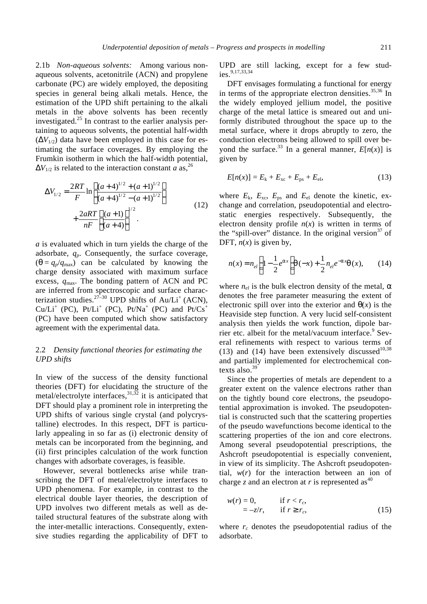2.1b *Non-aqueous solvents:* Among various nonaqueous solvents, acetonitrile (ACN) and propylene carbonate (PC) are widely employed, the depositing species in general being alkali metals. Hence, the estimation of the UPD shift pertaining to the alkali metals in the above solvents has been recently investigated.<sup>25</sup> In contrast to the earlier analysis pertaining to aqueous solvents, the potential half-width  $(\Delta V_{1/2})$  data have been employed in this case for estimating the surface coverages. By employing the Frumkin isotherm in which the half-width potential,  $\Delta V_{1/2}$  is related to the interaction constant *a* as,<sup>26</sup>

$$
\Delta V_{1/2} = \frac{2RT}{F} \ln \left[ \frac{(a+4)^{1/2} + (a+1)^{1/2}}{(a+4)^{1/2} - (a+1)^{1/2}} \right] + \frac{2aRT}{nF} \left[ \frac{(a+1)}{(a+4)} \right]^{1/2}.
$$
\n(12)

*a* is evaluated which in turn yields the charge of the adsorbate, *qp*. Consequently, the surface coverage,  $(q = q_p/q_{\text{max}})$  can be calculated by knowing the charge density associated with maximum surface excess, *q*max. The bonding pattern of ACN and PC are inferred from spectroscopic and surface characterization studies.<sup>27-30</sup> UPD shifts of Au/Li<sup>+</sup> (ACN),  $Cu/Li^+$  (PC), Pt/Li<sup>+</sup> (PC), Pt/Na<sup>+</sup> (PC) and Pt/Cs<sup>+</sup> (PC) have been computed which show satisfactory agreement with the experimental data.

# 2.2 *Density functional theories for estimating the UPD shifts*

In view of the success of the density functional theories (DFT) for elucidating the structure of the metal/electrolyte interfaces,<sup>31,32</sup> it is anticipated that DFT should play a prominent role in interpreting the UPD shifts of various single crystal (and polycrystalline) electrodes. In this respect, DFT is particularly appealing in so far as (i) electronic density of metals can be incorporated from the beginning, and (ii) first principles calculation of the work function changes with adsorbate coverages, is feasible.

However, several bottlenecks arise while transcribing the DFT of metal/electrolyte interfaces to UPD phenomena. For example, in contrast to the electrical double layer theories, the description of UPD involves two different metals as well as detailed structural features of the substrate along with the inter-metallic interactions. Consequently, extensive studies regarding the applicability of DFT to

UPD are still lacking, except for a few studies.9,17,33,34

DFT envisages formulating a functional for energy in terms of the appropriate electron densities. $35,36$  In the widely employed jellium model, the positive charge of the metal lattice is smeared out and uniformly distributed throughout the space up to the metal surface, where it drops abruptly to zero, the conduction electrons being allowed to spill over beyond the surface.<sup>33</sup> In a general manner,  $E[n(x)]$  is given by

$$
E[n(x)] = E_k + E_{xc} + E_{ps} + E_{el},
$$
 (13)

where  $E_k$ ,  $E_{xc}$ ,  $E_{ps}$  and  $E_{el}$  denote the kinetic, exchange and correlation, pseudopotential and electrostatic energies respectively. Subsequently, the electron density profile  $n(x)$  is written in terms of the "spill-over" distance. In the original version $37$  of DFT,  $n(x)$  is given by,

$$
n(x) = n_{el} \left( 1 - \frac{1}{2} e^{ax} \right) \mathbf{q}(-x) + \frac{1}{2} n_{el} e^{-ax} \mathbf{q}(x), \qquad (14)
$$

where  $n_{el}$  is the bulk electron density of the metal,  $\boldsymbol{a}$ denotes the free parameter measuring the extent of electronic spill over into the exterior and  $q(x)$  is the Heaviside step function. A very lucid self-consistent analysis then yields the work function, dipole barrier etc. albeit for the metal/vacuum interface.<sup>9</sup> Several refinements with respect to various terms of (13) and (14) have been extensively discussed<sup>10,38</sup> and partially implemented for electrochemical contexts also. $39$ 

Since the properties of metals are dependent to a greater extent on the valence electrons rather than on the tightly bound core electrons, the pseudopotential approximation is invoked. The pseudopotential is constructed such that the scattering properties of the pseudo wavefunctions become identical to the scattering properties of the ion and core electrons. Among several pseudopotential prescriptions, the Ashcroft pseudopotential is especially convenient, in view of its simplicity. The Ashcroft pseudopotential, *w*(*r*) for the interaction between an ion of charge *z* and an electron at *r* is represented as<sup>40</sup>

$$
w(r) = 0, \qquad \text{if } r < r_c, \\
= -z/r, \qquad \text{if } r \ge r_c,\n \tag{15}
$$

where  $r_c$  denotes the pseudopotential radius of the adsorbate.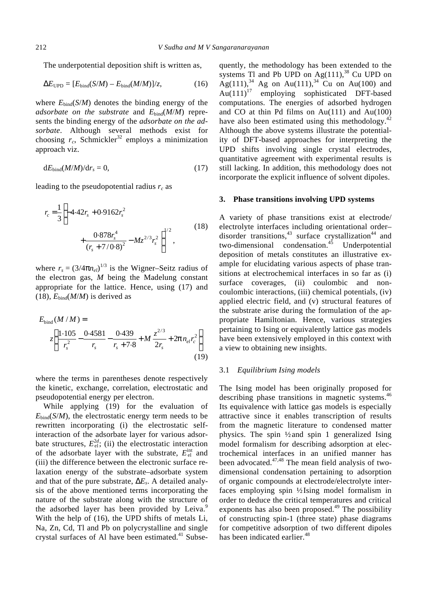The underpotential deposition shift is written as,

$$
\Delta E_{\rm UPD} = [E_{\rm bind}(S/M) - E_{\rm bind}(M/M)]/z,\tag{16}
$$

where  $E_{bind}(S/M)$  denotes the binding energy of the *adsorbate on the substrate* and  $E_{bind}(M/M)$  represents the binding energy of the *adsorbate on the adsorbate*. Although several methods exist for choosing  $r_c$ , Schmickler<sup>32</sup> employs a minimization approach viz.

$$
dE_{\text{bind}}(M/M)/dr_s = 0, \qquad (17)
$$

leading to the pseudopotential radius *r<sup>c</sup>* as

$$
r_c = \frac{1}{3} \left( -4.42r_s + 0.9162r_s^2 + \frac{0.878r_s^4}{(r_s + 7/0.8)^2} - Mz^{2/3}r_s^2 \right)^{1/2},
$$
\n(18)

where  $r_s = (3/4 \text{p}n_{el})^{1/3}$  is the Wigner–Seitz radius of the electron gas, *M* being the Madelung constant appropriate for the lattice. Hence, using (17) and (18),  $E_{bind}(M/M)$  is derived as

$$
E_{\text{bind}}(M/M) =
$$
  

$$
z \left( \frac{1.105}{r_s^2} - \frac{0.4581}{r_s} - \frac{0.439}{r_s + 7.8} + M \frac{z^{2/3}}{2r_s} + 2 \mathbf{p} n_{el} r_c^2 \right)
$$
  
(19)

where the terms in parentheses denote respectively the kinetic, exchange, correlation, electrostatic and pseudopotential energy per electron.

While applying (19) for the evaluation of  $E_{bind}(S/M)$ , the electrostatic energy term needs to be rewritten incorporating (i) the electrostatic selfinteraction of the adsorbate layer for various adsorbate structures,  $E_{el}^{2d}$ ; (ii) the electrostatic interaction of the adsorbate layer with the substrate,  $E_{el}^{\text{int}}$  and (iii) the difference between the electronic surface relaxation energy of the substrate–adsorbate system and that of the pure substrate, Δ*E<sup>s</sup>* . A detailed analysis of the above mentioned terms incorporating the nature of the substrate along with the structure of the adsorbed layer has been provided by Leiva.<sup>9</sup> With the help of (16), the UPD shifts of metals Li, Na, Zn, Cd, Tl and Pb on polycrystalline and single crystal surfaces of Al have been estimated. $41$  Subsequently, the methodology has been extended to the systems Tl and Pb UPD on  $Ag(111)^{38}$  Cu UPD on  $Ag(111),^{34}$  Ag on Au(111),<sup>34</sup> Cu on Au(100) and  $Au(111)^{17}$  employing sophisticated DFT-based computations. The energies of adsorbed hydrogen and CO at thin Pd films on  $Au(111)$  and  $Au(100)$ have also been estimated using this methodology. $42$ Although the above systems illustrate the potentiality of DFT-based approaches for interpreting the UPD shifts involving single crystal electrodes, quantitative agreement with experimental results is still lacking. In addition, this methodology does not incorporate the explicit influence of solvent dipoles.

#### **3. Phase transitions involving UPD systems**

A variety of phase transitions exist at electrode/ electrolyte interfaces including orientational order– disorder transitions,<sup>43</sup> surface crystallization<sup>44</sup> and two-dimensional condensation.<sup>45</sup> Underpotential deposition of metals constitutes an illustrative example for elucidating various aspects of phase transitions at electrochemical interfaces in so far as (i) surface coverages, (ii) coulombic and noncoulombic interactions, (iii) chemical potentials, (iv) applied electric field, and (v) structural features of the substrate arise during the formulation of the appropriate Hamiltonian. Hence, various strategies pertaining to Ising or equivalently lattice gas models have been extensively employed in this context with a view to obtaining new insights.

#### 3.1 *Equilibrium Ising models*

The Ising model has been originally proposed for describing phase transitions in magnetic systems.<sup>46</sup> Its equivalence with lattice gas models is especially attractive since it enables transcription of results from the magnetic literature to condensed matter physics. The spin ½ and spin 1 generalized Ising model formalism for describing adsorption at electrochemical interfaces in an unified manner has been advocated.<sup>47,48</sup> The mean field analysis of twodimensional condensation pertaining to adsorption of organic compounds at electrode/electrolyte interfaces employing spin ½ Ising model formalism in order to deduce the critical temperatures and critical exponents has also been proposed.<sup>49</sup> The possibility of constructing spin-1 (three state) phase diagrams for competitive adsorption of two different dipoles has been indicated earlier.<sup>48</sup>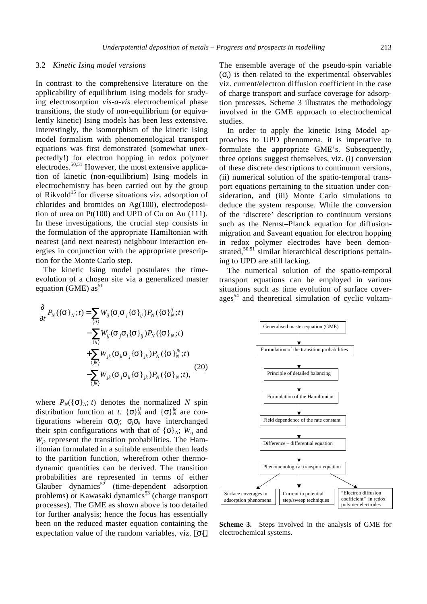#### 3.2 *Kinetic Ising model versions*

In contrast to the comprehensive literature on the applicability of equilibrium Ising models for studying electrosorption *vis-a-vis* electrochemical phase transitions, the study of non-equilibrium (or equivalently kinetic) Ising models has been less extensive. Interestingly, the isomorphism of the kinetic Ising model formalism with phenomenological transport equations was first demonstrated (somewhat unexpectedly!) for electron hopping in redox polymer electrodes.<sup>50,51</sup> However, the most extensive application of kinetic (non-equilibrium) Ising models in electrochemistry has been carried out by the group of Rikvold<sup>15</sup> for diverse situations viz. adsorption of chlorides and bromides on Ag(100), electrodeposition of urea on Pt(100) and UPD of Cu on Au (111). In these investigations, the crucial step consists in the formulation of the appropriate Hamiltonian with nearest (and next nearest) neighbour interaction energies in conjunction with the appropriate prescription for the Monte Carlo step.

The kinetic Ising model postulates the timeevolution of a chosen site via a generalized master equation (GME) as<sup>51</sup>

$$
\frac{\partial}{\partial t} P_N(\{\mathbf{s}\}_N;t) = \sum_{\langle ij \rangle} W_{ij}(\mathbf{s}_i \mathbf{s}_j \{\mathbf{s}\}_ij) P_N(\{\mathbf{s}\}_N^{\langle i \rangle};t) \n- \sum_{\langle ij \rangle} W_{ij}(\mathbf{s}_j \mathbf{s}_i \{\mathbf{s}\}_ij) P_N(\{\mathbf{s}\}_N;t) \n+ \sum_{\langle ik \rangle} W_{jk}(\mathbf{s}_k \mathbf{s}_j \{\mathbf{s}\}_jk) P_N(\{\mathbf{s}\}_N^{\langle k \rangle};t) \n- \sum_{\langle jk \rangle} W_{jk}(\mathbf{s}_j \mathbf{s}_k \{\mathbf{s}\}_jk) P_N(\{\mathbf{s}\}_N;t),
$$
\n(20)

where  $P_N({\{s\}}_N; t)$  denotes the normalized N spin distribution function at *t*.  $\{S\}^{\{ij\}}_N$  and  $\{S\}^{\{ik\}}_N$  are configurations wherein  $S_i S_j$ ;  $S_j S_k$  have interchanged their spin configurations with that of  $\{s\}_N$ ;  $W_{ij}$  and  $W_{ik}$  represent the transition probabilities. The Hamiltonian formulated in a suitable ensemble then leads to the partition function, wherefrom other thermodynamic quantities can be derived. The transition probabilities are represented in terms of either Glauber dynamics<sup>52</sup> (time-dependent adsorption problems) or Kawasaki dynamics<sup>53</sup> (charge transport processes). The GME as shown above is too detailed for further analysis; hence the focus has essentially been on the reduced master equation containing the expectation value of the random variables, viz.  $\langle s_i \rangle$ .

The ensemble average of the pseudo-spin variable  $(\mathbf{s}_i)$  is then related to the experimental observables viz. current/electron diffusion coefficient in the case of charge transport and surface coverage for adsorption processes. Scheme 3 illustrates the methodology involved in the GME approach to electrochemical studies.

In order to apply the kinetic Ising Model approaches to UPD phenomena, it is imperative to formulate the appropriate GME's. Subsequently, three options suggest themselves, viz. (i) conversion of these discrete descriptions to continuum versions, (ii) numerical solution of the spatio-temporal transport equations pertaining to the situation under consideration, and (iii) Monte Carlo simulations to deduce the system response. While the conversion of the 'discrete' description to continuum versions such as the Nernst–Planck equation for diffusionmigration and Saveant equation for electron hopping in redox polymer electrodes have been demonstrated, $50,51$  similar hierarchical descriptions pertaining to UPD are still lacking.

The numerical solution of the spatio-temporal transport equations can be employed in various situations such as time evolution of surface cover $ages<sup>54</sup>$  and theoretical simulation of cyclic voltam-



**Scheme 3.** Steps involved in the analysis of GME for electrochemical systems.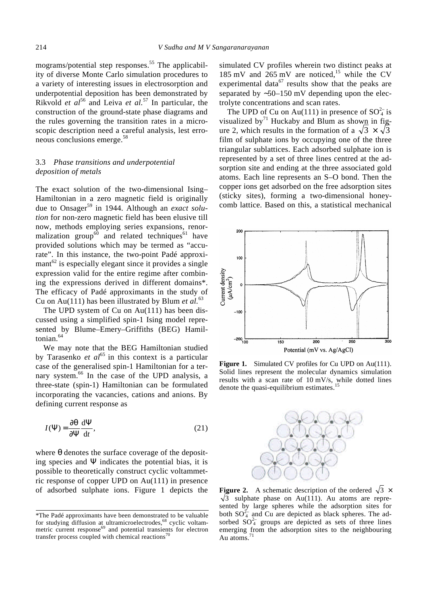mograms/potential step responses.<sup>55</sup> The applicability of diverse Monte Carlo simulation procedures to a variety of interesting issues in electrosorption and underpotential deposition has been demonstrated by Rikvold *et al*<sup>56</sup> and Leiva *et al.*<sup>57</sup> In particular, the construction of the ground-state phase diagrams and the rules governing the transition rates in a microscopic description need a careful analysis, lest erroneous conclusions emerge.<sup>58</sup>

# 3.3 *Phase transitions and underpotential deposition of metals*

The exact solution of the two-dimensional Ising– Hamiltonian in a zero magnetic field is originally due to Onsager<sup>59</sup> in 1944. Although an *exact solution* for non-zero magnetic field has been elusive till now, methods employing series expansions, renormalization group<sup>60</sup> and related techniques<sup>61</sup> have provided solutions which may be termed as "accurate". In this instance, the two-point Padé approxi- $\text{mant}^{62}$  is especially elegant since it provides a single expression valid for the entire regime after combining the expressions derived in different domains\*. The efficacy of Padé approximants in the study of Cu on Au(111) has been illustrated by Blum *et al.*<sup>63</sup>

The UPD system of Cu on Au(111) has been discussed using a simplified spin-1 Ising model represented by Blume–Emery–Griffiths (BEG) Hamiltonian.<sup>64</sup>

We may note that the BEG Hamiltonian studied by Tarasenko *et*  $al^{65}$  in this context is a particular case of the generalised spin-1 Hamiltonian for a ternary system.<sup>66</sup> In the case of the UPD analysis, a three-state (spin-1) Hamiltonian can be formulated incorporating the vacancies, cations and anions. By defining current response as

$$
I(\Psi) = \frac{\partial q}{\partial \Psi} \frac{d\Psi}{dt},\tag{21}
$$

where *q* denotes the surface coverage of the depositing species and Ψ indicates the potential bias, it is possible to theoretically construct cyclic voltammetric response of copper UPD on Au(111) in presence of adsorbed sulphate ions. Figure 1 depicts the simulated CV profiles wherein two distinct peaks at 185 mV and  $265$  mV are noticed,<sup>15</sup> while the CV experimental data<sup>67</sup> results show that the peaks are separated by ~50–150 mV depending upon the electrolyte concentrations and scan rates.

The UPD of Cu on Au(111) in presence of  $SO_4^{2-}$  is visualized by<sup>71</sup> Huckaby and Blum as shown in figure 2, which results in the formation of a  $\sqrt{3} \times \sqrt{3}$ film of sulphate ions by occupying one of the three triangular sublattices. Each adsorbed sulphate ion is represented by a set of three lines centred at the adsorption site and ending at the three associated gold atoms. Each line represents an S–O bond. Then the copper ions get adsorbed on the free adsorption sites (sticky sites), forming a two-dimensional honeycomb lattice. Based on this, a statistical mechanical



Figure 1. Simulated CV profiles for Cu UPD on Au(111). Solid lines represent the molecular dynamics simulation results with a scan rate of 10 mV/s, while dotted lines denote the quasi-equilibrium estimates.



**Figure 2.** A schematic description of the ordered  $\sqrt{3} \times$  $\sqrt{3}$  sulphate phase on Au(111). Au atoms are represented by large spheres while the adsorption sites for both  $SO_4^2$  and Cu are depicted as black spheres. The adsorbed  $SO_4^{2-}$  groups are depicted as sets of three lines emerging from the adsorption sites to the neighbouring Au atoms.<sup>7</sup>

<sup>\*</sup>The Padé approximants have been demonstrated to be valuable for studying diffusion at ultramicroelectrodes,<sup>68</sup> cyclic voltammetric current response<sup>69</sup> and potential transients for electron transfer process coupled with chemical reactions $70$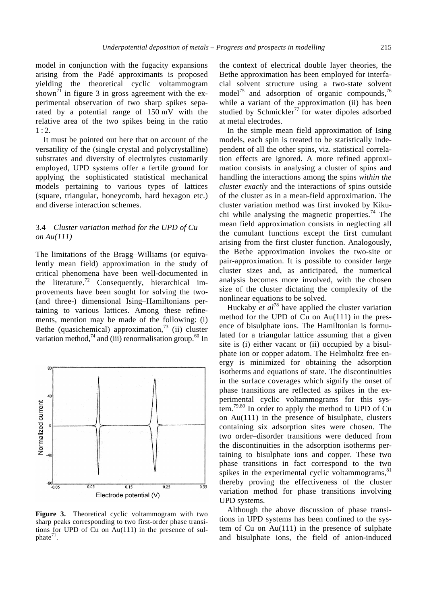model in conjunction with the fugacity expansions arising from the Padé approximants is proposed yielding the theoretical cyclic voltammogram shown<sup>71</sup> in figure 3 in gross agreement with the experimental observation of two sharp spikes separated by a potential range of 150 mV with the relative area of the two spikes being in the ratio  $1:2.$ 

It must be pointed out here that on account of the versatility of the (single crystal and polycrystalline) substrates and diversity of electrolytes customarily employed, UPD systems offer a fertile ground for applying the sophisticated statistical mechanical models pertaining to various types of lattices (square, triangular, honeycomb, hard hexagon etc.) and diverse interaction schemes.

# 3.4 *Cluster variation method for the UPD of Cu on Au(111)*

The limitations of the Bragg–Williams (or equivalently mean field) approximation in the study of critical phenomena have been well-documented in the literature.<sup>72</sup> Consequently, hierarchical improvements have been sought for solving the two- (and three-) dimensional Ising–Hamiltonians pertaining to various lattices. Among these refinements, mention may be made of the following: (i) Bethe (quasichemical) approximation, $^{73}$  (ii) cluster variation method,<sup>74</sup> and (iii) renormalisation group.<sup>60</sup> In



**Figure 3.** Theoretical cyclic voltammogram with two sharp peaks corresponding to two first-order phase transitions for UPD of Cu on Au(111) in the presence of sulphate $^{71}$ .

the context of electrical double layer theories, the Bethe approximation has been employed for interfacial solvent structure using a two-state solvent model<sup>75</sup> and adsorption of organic compounds,  $^{76}$ while a variant of the approximation (ii) has been studied by Schmickler<sup>77</sup> for water dipoles adsorbed at metal electrodes.

In the simple mean field approximation of Ising models, each spin is treated to be statistically independent of all the other spins, viz. statistical correlation effects are ignored. A more refined approximation consists in analysing a cluster of spins and handling the interactions among the spins *within the cluster exactly* and the interactions of spins outside of the cluster as in a mean-field approximation. The cluster variation method was first invoked by Kikuchi while analysing the magnetic properties.<sup>74</sup> The mean field approximation consists in neglecting all the cumulant functions except the first cumulant arising from the first cluster function. Analogously, the Bethe approximation invokes the two-site or pair-approximation. It is possible to consider large cluster sizes and, as anticipated, the numerical analysis becomes more involved, with the chosen size of the cluster dictating the complexity of the nonlinear equations to be solved.

Huckaby *et al*<sup>78</sup> have applied the cluster variation method for the UPD of Cu on Au(111) in the presence of bisulphate ions. The Hamiltonian is formulated for a triangular lattice assuming that a given site is (i) either vacant or (ii) occupied by a bisulphate ion or copper adatom. The Helmholtz free energy is minimized for obtaining the adsorption isotherms and equations of state. The discontinuities in the surface coverages which signify the onset of phase transitions are reflected as spikes in the experimental cyclic voltammograms for this system.<sup>79,80</sup> In order to apply the method to UPD of Cu on Au(111) in the presence of bisulphate, clusters containing six adsorption sites were chosen. The two order–disorder transitions were deduced from the discontinuities in the adsorption isotherms pertaining to bisulphate ions and copper. These two phase transitions in fact correspond to the two spikes in the experimental cyclic voltammograms, $81$ thereby proving the effectiveness of the cluster variation method for phase transitions involving UPD systems.

Although the above discussion of phase transitions in UPD systems has been confined to the system of Cu on Au(111) in the presence of sulphate and bisulphate ions, the field of anion-induced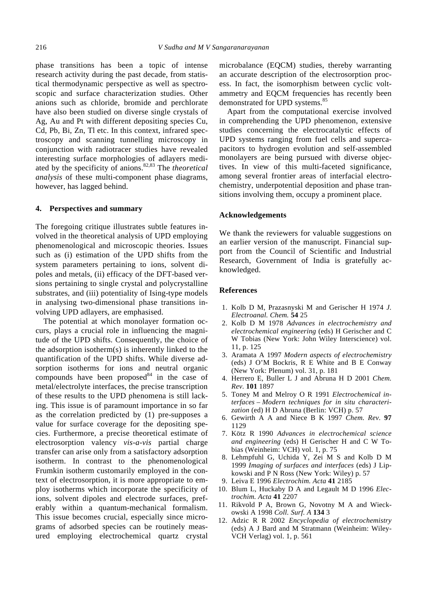phase transitions has been a topic of intense research activity during the past decade, from statistical thermodynamic perspective as well as spectroscopic and surface characterization studies. Other anions such as chloride, bromide and perchlorate have also been studied on diverse single crystals of Ag, Au and Pt with different depositing species Cu, Cd, Pb, Bi, Zn, Tl etc. In this context, infrared spectroscopy and scanning tunnelling microscopy in conjunction with radiotracer studies have revealed interesting surface morphologies of adlayers mediated by the specificity of anions.82,83 The *theoretical analysis* of these multi-component phase diagrams, however, has lagged behind.

### **4. Perspectives and summary**

The foregoing critique illustrates subtle features involved in the theoretical analysis of UPD employing phenomenological and microscopic theories. Issues such as (i) estimation of the UPD shifts from the system parameters pertaining to ions, solvent dipoles and metals, (ii) efficacy of the DFT-based versions pertaining to single crystal and polycrystalline substrates, and (iii) potentiality of Ising-type models in analysing two-dimensional phase transitions involving UPD adlayers, are emphasised.

The potential at which monolayer formation occurs, plays a crucial role in influencing the magnitude of the UPD shifts. Consequently, the choice of the adsorption isotherm(s) is inherently linked to the quantification of the UPD shifts. While diverse adsorption isotherms for ions and neutral organic compounds have been proposed $^{84}$  in the case of metal/electrolyte interfaces, the precise transcription of these results to the UPD phenomena is still lacking. This issue is of paramount importance in so far as the correlation predicted by (1) pre-supposes a value for surface coverage for the depositing species. Furthermore, a precise theoretical estimate of electrosorption valency *vis-a-vis* partial charge transfer can arise only from a satisfactory adsorption isotherm. In contrast to the phenomenological Frumkin isotherm customarily employed in the context of electrosorption, it is more appropriate to employ isotherms which incorporate the specificity of ions, solvent dipoles and electrode surfaces, preferably within a quantum-mechanical formalism. This issue becomes crucial, especially since micrograms of adsorbed species can be routinely measured employing electrochemical quartz crystal

microbalance (EQCM) studies, thereby warranting an accurate description of the electrosorption process. In fact, the isomorphism between cyclic voltammetry and EQCM frequencies has recently been demonstrated for UPD systems.<sup>85</sup>

Apart from the computational exercise involved in comprehending the UPD phenomenon, extensive studies concerning the electrocatalytic effects of UPD systems ranging from fuel cells and supercapacitors to hydrogen evolution and self-assembled monolayers are being pursued with diverse objectives. In view of this multi-faceted significance, among several frontier areas of interfacial electrochemistry, underpotential deposition and phase transitions involving them, occupy a prominent place.

### **Acknowledgements**

We thank the reviewers for valuable suggestions on an earlier version of the manuscript. Financial support from the Council of Scientific and Industrial Research, Government of India is gratefully acknowledged.

### **References**

- 1. Kolb D M, Prazasnyski M and Gerischer H 1974 *J. Electroanal. Chem.* **54** 25
- 2. Kolb D M 1978 *Advances in electrochemistry and electrochemical engineering* (eds) H Gerischer and C W Tobias (New York: John Wiley Interscience) vol. 11, p. 125
- 3. Aramata A 1997 *Modern aspects of electrochemistry* (eds) J O'M Bockris, R E White and B E Conway (New York: Plenum) vol. 31, p. 181
- 4. Herrero E, Buller L J and Abruna H D 2001 *Chem. Rev.* **101** 1897
- 5. Toney M and Melroy O R 1991 *Electrochemical interfaces – Modern techniques for in situ characterization* (ed) H D Abruna (Berlin: VCH) p. 57
- 6. Gewirth A A and Niece B K 1997 *Chem. Rev.* **97** 1129
- 7. Kötz R 1990 *Advances in electrochemical science and engineering* (eds) H Gerischer H and C W Tobias (Weinheim: VCH) vol. 1, p. 75
- 8. Lehmpfuhl G, Uchida Y, Zei M S and Kolb D M 1999 *Imaging of surfaces and interfaces* (eds) J Lipkowski and P N Ross (New York: Wiley) p. 57
- 9. Leiva E 1996 *Electrochim. Acta* **41** 2185
- 10. Blum L, Huckaby D A and Legault M D 1996 *Electrochim. Acta* **41** 2207
- 11. Rikvold P A, Brown G, Novotny M A and Wieckowski A 1998 *Coll. Surf. A* **134** 3
- 12. Adzic R R 2002 *Encyclopedia of electrochemistry* (eds) A J Bard and M Stratmann (Weinheim: Wiley-VCH Verlag) vol. 1, p. 561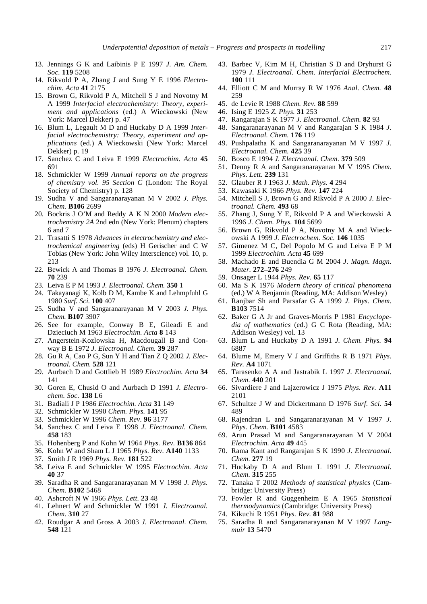- 13. Jennings G K and Laibinis P E 1997 *J. Am. Chem. Soc.* **119** 5208
- 14. Rikvold P A, Zhang J and Sung Y E 1996 *Electrochim. Acta* **41** 2175
- 15. Brown G, Rikvold P A, Mitchell S J and Novotny M A 1999 *Interfacial electrochemistry: Theory, experiment and applications* (ed.) A Wieckowski (New York: Marcel Dekker) p. 47
- 16. Blum L, Legault M D and Huckaby D A 1999 *Interfacial electrochemistry: Theory, experiment and applications* (ed.) A Wieckowski (New York: Marcel Dekker) p. 19
- 17. Sanchez C and Leiva E 1999 *Electrochim. Acta* **45** 691
- 18. Schmickler W 1999 *Annual reports on the progress of chemistry vol. 95 Section C* (London: The Royal Society of Chemistry) p. 128
- 19. Sudha V and Sangaranarayanan M V 2002 *J. Phys. Chem.* **B106** 2699
- 20. Bockris J O'M and Reddy A K N 2000 *Modern electrochemistry 2A* 2nd edn (New York: Plenum) chapters 6 and 7
- 21. Trasatti S 1978 *Advances in electrochemistry and electrochemical engineering* (eds) H Gerischer and C W Tobias (New York: John Wiley Interscience) vol. 10, p. 213
- 22. Bewick A and Thomas B 1976 *J. Electroanal. Chem.* **70** 239
- 23. Leiva E P M 1993 *J. Electroanal. Chem.* **350** 1
- 24. Takayanagi K, Kolb D M, Kambe K and Lehmpfuhl G 1980 *Surf. Sci.* **100** 407
- 25. Sudha V and Sangaranarayanan M V 2003 *J. Phys. Chem.* **B107** 3907
- 26. See for example, Conway B E, Gileadi E and Dzieciuch M 1963 *Electrochim. Acta* **8** 143
- 27. Angerstein-Kozlowska H, Macdougall B and Conway B E 1972 *J. Electroanal. Chem.* **39** 287
- 28. Gu R A, Cao P G, Sun Y H and Tian Z Q 2002 *J. Electroanal. Chem.* **528** 121
- 29. Aurbach D and Gottlieb H 1989 *Electrochim. Acta* **34** 141
- 30. Goren E, Chusid O and Aurbach D 1991 *J. Electrochem. Soc.* **138** L6
- 31. Badiali J P 1986 *Electrochim. Acta* **31** 149
- 32. Schmickler W 1990 *Chem. Phys.* **141** 95
- 33. Schmickler W 1996 *Chem. Rev.* **96** 3177
- 34. Sanchez C and Leiva E 1998 *J. Electroanal. Chem.* **458** 183
- 35. Hohenberg P and Kohn W 1964 *Phys. Rev.* **B136** 864
- 36. Kohn W and Sham L J 1965 *Phys. Rev.* **A140** 1133
- 37. Smith J R 1969 *Phys. Rev.* **181** 522
- 38. Leiva E and Schmickler W 1995 *Electrochim. Acta* **40** 37
- 39. Saradha R and Sangaranarayanan M V 1998 *J. Phys. Chem.* **B102** 5468
- 40. Ashcroft N W 1966 *Phys. Lett.* **23** 48
- 41. Lehnert W and Schmickler W 1991 *J. Electroanal. Chem.* **310** 27
- 42. Roudgar A and Gross A 2003 *J. Electroanal. Chem.* **548** 121
- 43. Barbec V, Kim M H, Christian S D and Dryhurst G 1979 *J. Electroanal. Chem. Interfacial Electrochem.* **100** 111
- 44. Elliott C M and Murray R W 1976 *Anal. Chem.* **48** 259
- 45. de Levie R 1988 *Chem. Rev.* **88** 599
- 46. Ising E 1925 *Z. Phys.* **31** 253
- 47. Rangarajan S K 1977 *J. Electroanal. Chem.* **82** 93
- 48. Sangaranarayanan M V and Rangarajan S K 1984 *J. Electroanal. Chem.* **176** 119
- 49. Pushpalatha K and Sangaranarayanan M V 1997 *J. Electroanal. Chem.* **425** 39
- 50. Bosco E 1994 *J. Electroanal. Chem.* **379** 509
- 51. Denny R A and Sangaranarayanan M V 1995 *Chem. Phys. Lett.* **239** 131
- 52. Glauber R J 1963 *J. Math. Phys.* **4** 294
- 53. Kawasaki K 1966 *Phys. Rev.* **147** 224
- 54. Mitchell S J, Brown G and Rikvold P A 2000 *J. Electroanal. Chem.* **493** 68
- 55. Zhang J, Sung Y E, Rikvold P A and Wieckowski A 1996 *J. Chem. Phys.* **104** 5699
- 56. Brown G, Rikvold P A, Novotny M A and Wieckowski A 1999 *J. Electrochem. Soc.* **146** 1035
- 57. Gimenez M C, Del Popolo M G and Leiva E P M 1999 *Electrochim. Acta* **45** 699
- 58. Machado E and Buendia G M 2004 *J. Magn. Magn. Mater.* **272–276** 249
- 59. Onsager L 1944 *Phys. Rev.* **65** 117
- 60. Ma S K 1976 *Modern theory of critical phenomena* (ed.) W A Benjamin (Reading, MA: Addison Wesley)
- 61. Ranjbar Sh and Parsafar G A 1999 *J. Phys. Chem.* **B103** 7514
- 62. Baker G A Jr and Graves-Morris P 1981 *Encyclopedia of mathematics* (ed.) G C Rota (Reading, MA: Addison Wesley) vol. 13
- 63. Blum L and Huckaby D A 1991 *J. Chem. Phys.* **94** 6887
- 64. Blume M, Emery V J and Griffiths R B 1971 *Phys. Rev.* **A4** 1071
- 65. Tarasenko A A and Jastrabik L 1997 *J. Electroanal. Chem.* **440** 201
- 66. Sivardiere J and Lajzerowicz J 1975 *Phys. Rev.* **A11** 2101
- 67. Schultze J W and Dickertmann D 1976 *Surf. Sci.* **54** 489
- 68. Rajendran L and Sangaranarayanan M V 1997 *J. Phys. Chem.* **B101** 4583
- 69. Arun Prasad M and Sangaranarayanan M V 2004 *Electrochim. Acta* **49** 445
- 70. Rama Kant and Rangarajan S K 1990 *J. Electroanal. Chem.* **277** 19
- 71. Huckaby D A and Blum L 1991 *J. Electroanal. Chem.* **315** 255
- 72. Tanaka T 2002 *Methods of statistical physics* (Cambridge: University Press)
- 73. Fowler R and Guggenheim E A 1965 *Statistical thermodynamics* (Cambridge: University Press)
- 74. Kikuchi R 1951 *Phys. Rev.* **81** 988
- 75. Saradha R and Sangaranarayanan M V 1997 *Langmuir* **13** 5470